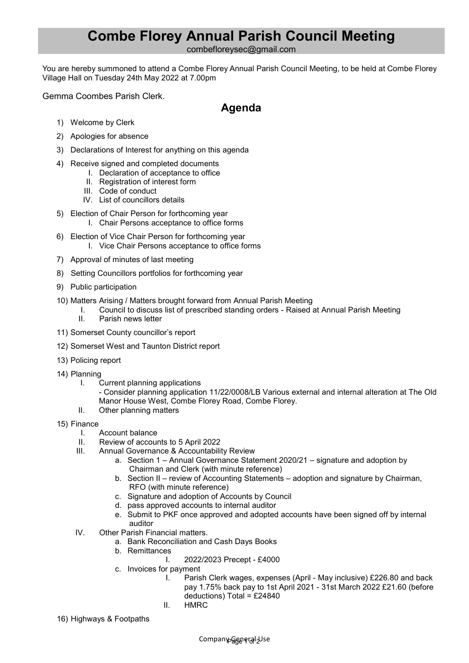## **Combe Florey Annual Parish Council Meeting**

combefloreysec@gmail.com

You are hereby summoned to attend a Combe Florey Annual Parish Council Meeting, to be held at Combe Florey Village Hall on Tuesday 24th May 2022 at 7.00pm

Gemma Coombes Parish Clerk.

## **Agenda**

- 1) Welcome by Clerk
- 2) Apologies for absence
- 3) Declarations of Interest for anything on this agenda
- 4) Receive signed and completed documents
	- I. Declaration of acceptance to office
		- II. Registration of interest form
		- III. Code of conduct
	- IV. List of councillors details
- 5) Election of Chair Person for forthcoming year
	- I. Chair Persons acceptance to office forms
- 6) Election of Vice Chair Person for forthcoming year I. Vice Chair Persons acceptance to office forms
- 7) Approval of minutes of last meeting
- 8) Setting Councillors portfolios for forthcoming year
- 9) Public participation
- 10) Matters Arising / Matters brought forward from Annual Parish Meeting
	- I. Council to discuss list of prescribed standing orders Raised at Annual Parish Meeting II. Parish news letter
- 11) Somerset County councillor's report
- 12) Somerset West and Taunton District report
- 13) Policing report
- 14) Planning
	- I. Current planning applications

- Consider planning application 11/22/0008/LB Various external and internal alteration at The Old Manor House West, Combe Florey Road, Combe Florey.

- II. Other planning matters
- 15) Finance
	- I. Account balance
	- II. Review of accounts to 5 April 2022
	- III. Annual Governance & Accountability Review
		- a. Section 1 Annual Governance Statement 2020/21 signature and adoption by Chairman and Clerk (with minute reference)
		- b. Section II review of Accounting Statements adoption and signature by Chairman, RFO (with minute reference)
		- c. Signature and adoption of Accounts by Council
		- d. pass approved accounts to internal auditor
		- e. Submit to PKF once approved and adopted accounts have been signed off by internal auditor
	- IV. Other Parish Financial matters.
		- a. Bank Reconciliation and Cash Days Books
		- b. Remittances
			- I. 2022/2023 Precept £4000
		- c. Invoices for payment
			- I. Parish Clerk wages, expenses (April May inclusive) £226.80 and back pay 1.75% back pay to 1st April 2021 - 31st March 2022 £21.60 (before deductions) Total = £24840
			- II. HMRC
- 16) Highways & Footpaths